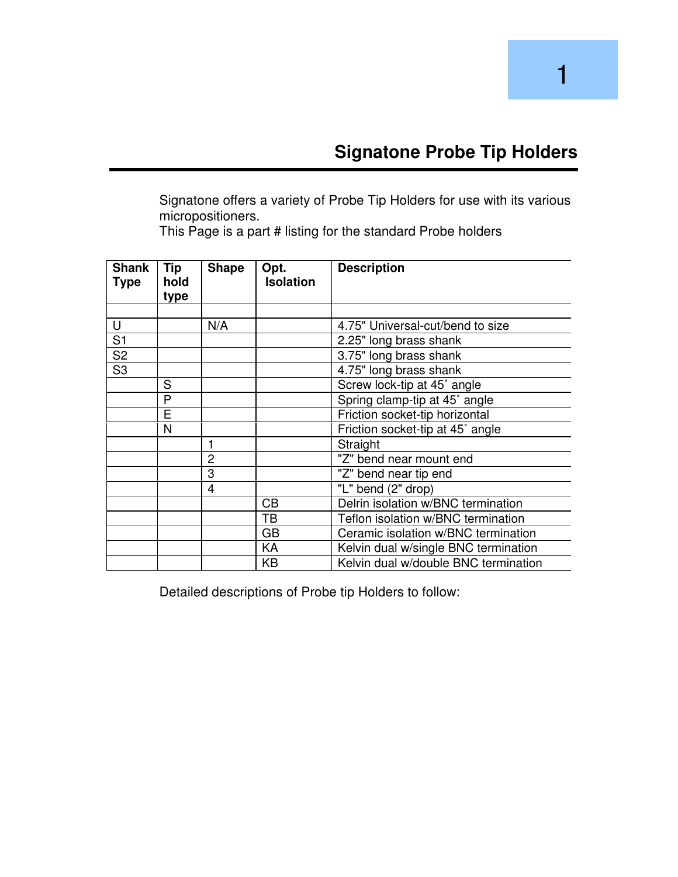Signatone offers a variety of Probe Tip Holders for use with its various micropositioners.

This Page is a part # listing for the standard Probe holders

| <b>Shank</b><br><b>Type</b> | Tip<br>hold | <b>Shape</b> | Opt.<br><b>Isolation</b> | <b>Description</b>                   |
|-----------------------------|-------------|--------------|--------------------------|--------------------------------------|
|                             | type        |              |                          |                                      |
|                             |             |              |                          |                                      |
| U                           |             | N/A          |                          | 4.75" Universal-cut/bend to size     |
| S <sub>1</sub>              |             |              |                          | 2.25" long brass shank               |
| S <sub>2</sub>              |             |              |                          | 3.75" long brass shank               |
| S <sub>3</sub>              |             |              |                          | 4.75" long brass shank               |
|                             | S           |              |                          | Screw lock-tip at 45° angle          |
|                             | P           |              |                          | Spring clamp-tip at 45° angle        |
|                             | E           |              |                          | Friction socket-tip horizontal       |
|                             | N           |              |                          | Friction socket-tip at 45° angle     |
|                             |             | 1            |                          | Straight                             |
|                             |             | 2            |                          | "Z" bend near mount end              |
|                             |             | 3            |                          | "Z" bend near tip end                |
|                             |             | 4            |                          | "L" bend (2" drop)                   |
|                             |             |              | CB                       | Delrin isolation w/BNC termination   |
|                             |             |              | TB                       | Teflon isolation w/BNC termination   |
|                             |             |              | <b>GB</b>                | Ceramic isolation w/BNC termination  |
|                             |             |              | KA                       | Kelvin dual w/single BNC termination |
|                             |             |              | KB                       | Kelvin dual w/double BNC termination |

Detailed descriptions of Probe tip Holders to follow: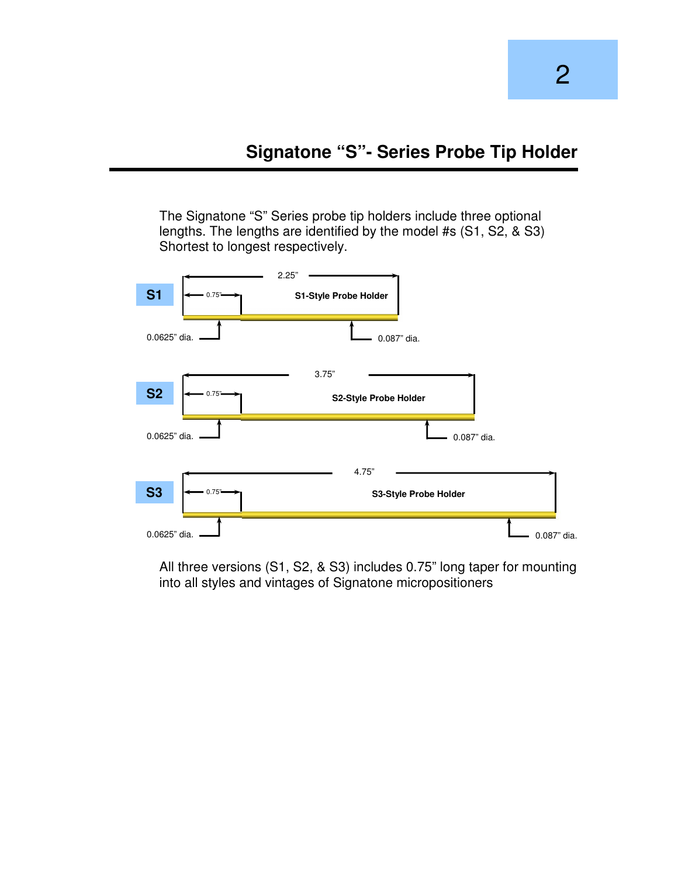The Signatone "S" Series probe tip holders include three optional lengths. The lengths are identified by the model #s (S1, S2, & S3) Shortest to longest respectively.



All three versions (S1, S2, & S3) includes 0.75" long taper for mounting into all styles and vintages of Signatone micropositioners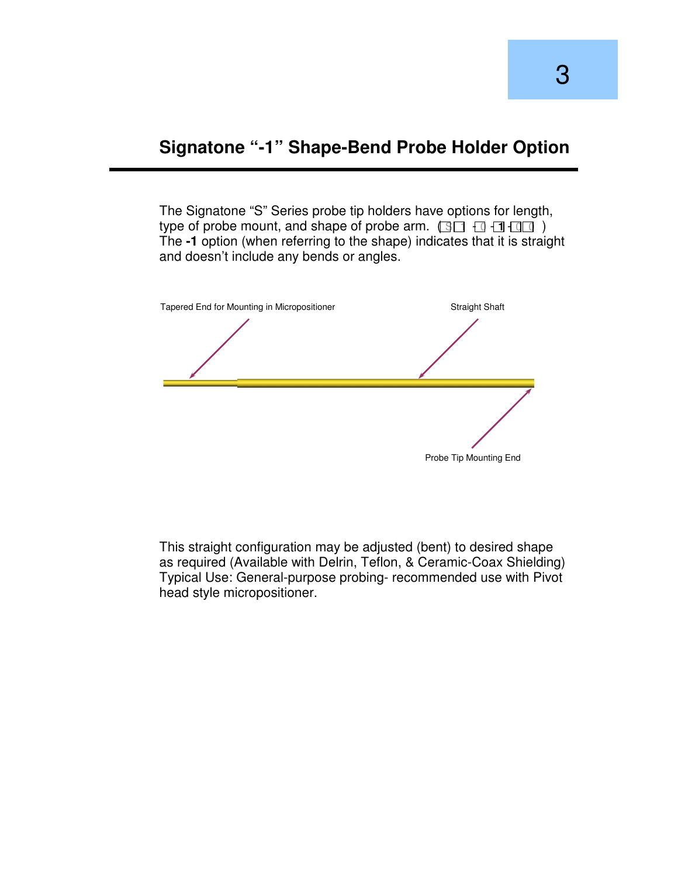#### **Signatone "-1" Shape-Bend Probe Holder Option**

The Signatone "S" Series probe tip holders have options for length, type of probe mount, and shape of probe arm.  $\Box \Box \Box \Box \Box$ The **-1** option (when referring to the shape) indicates that it is straight and doesn't include any bends or angles.



This straight configuration may be adjusted (bent) to desired shape as required (Available with Delrin, Teflon, & Ceramic-Coax Shielding) Typical Use: General-purpose probing- recommended use with Pivot head style micropositioner.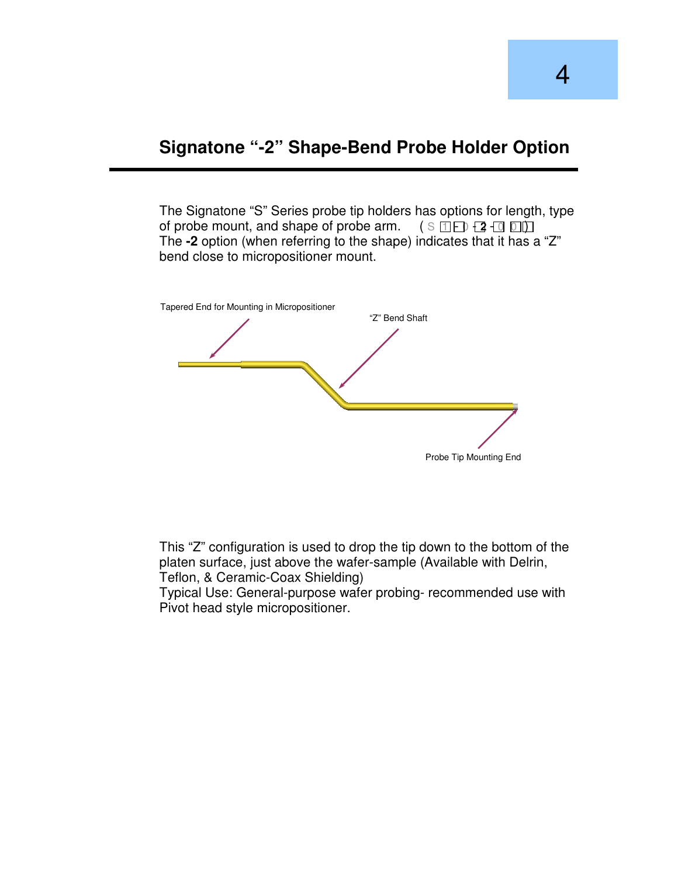#### **Signatone "-2" Shape-Bend Probe Holder Option**

The Signatone "S" Series probe tip holders has options for length, type of probe mount, and shape of probe arm. ( S 1 - 0 - **2** - 0 0 ) The **-2** option (when referring to the shape) indicates that it has a "Z" bend close to micropositioner mount.



This "Z" configuration is used to drop the tip down to the bottom of the platen surface, just above the wafer-sample (Available with Delrin, Teflon, & Ceramic-Coax Shielding)

Typical Use: General-purpose wafer probing- recommended use with Pivot head style micropositioner.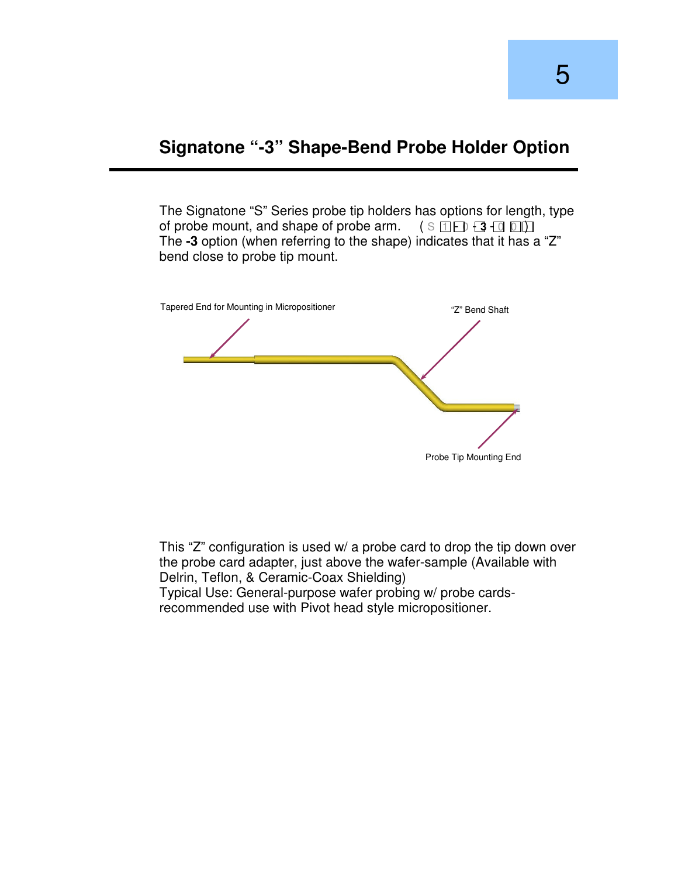#### **Signatone "-3" Shape-Bend Probe Holder Option**

The Signatone "S" Series probe tip holders has options for length, type of probe mount, and shape of probe arm. ( S 1 - 0 - **3** - 0 0 ) The **-3** option (when referring to the shape) indicates that it has a "Z" bend close to probe tip mount.



This "Z" configuration is used w/ a probe card to drop the tip down over the probe card adapter, just above the wafer-sample (Available with Delrin, Teflon, & Ceramic-Coax Shielding) Typical Use: General-purpose wafer probing w/ probe cardsrecommended use with Pivot head style micropositioner.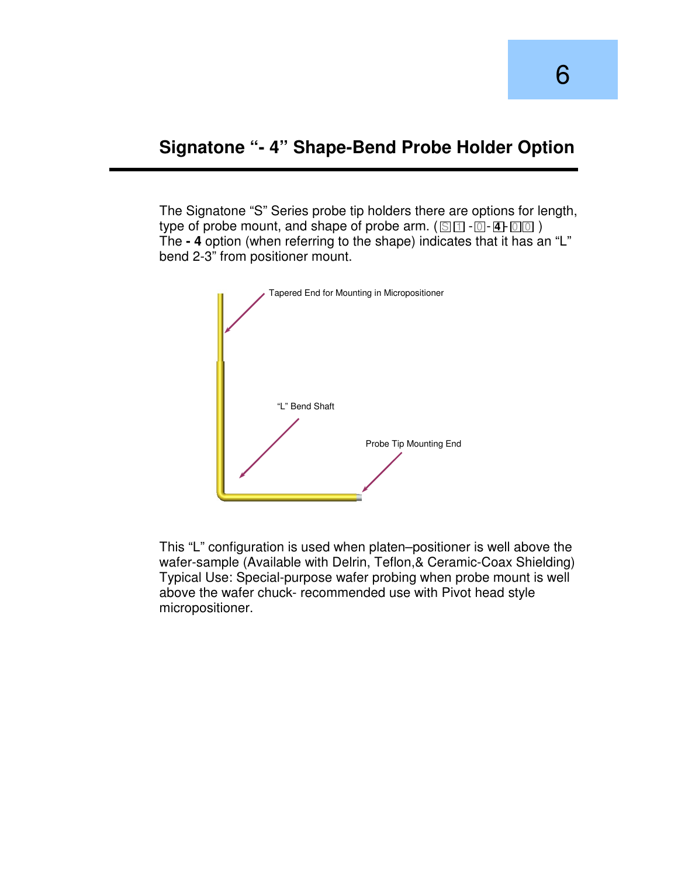#### **Signatone "- 4" Shape-Bend Probe Holder Option**

The Signatone "S" Series probe tip holders there are options for length, type of probe mount, and shape of probe arm.  $(S_1 \cap \cdots \cap A)$  -  $[0] \cap \cdots$ The **- 4** option (when referring to the shape) indicates that it has an "L" bend 2-3" from positioner mount.



This "L" configuration is used when platen–positioner is well above the wafer-sample (Available with Delrin, Teflon,& Ceramic-Coax Shielding) Typical Use: Special-purpose wafer probing when probe mount is well above the wafer chuck- recommended use with Pivot head style micropositioner.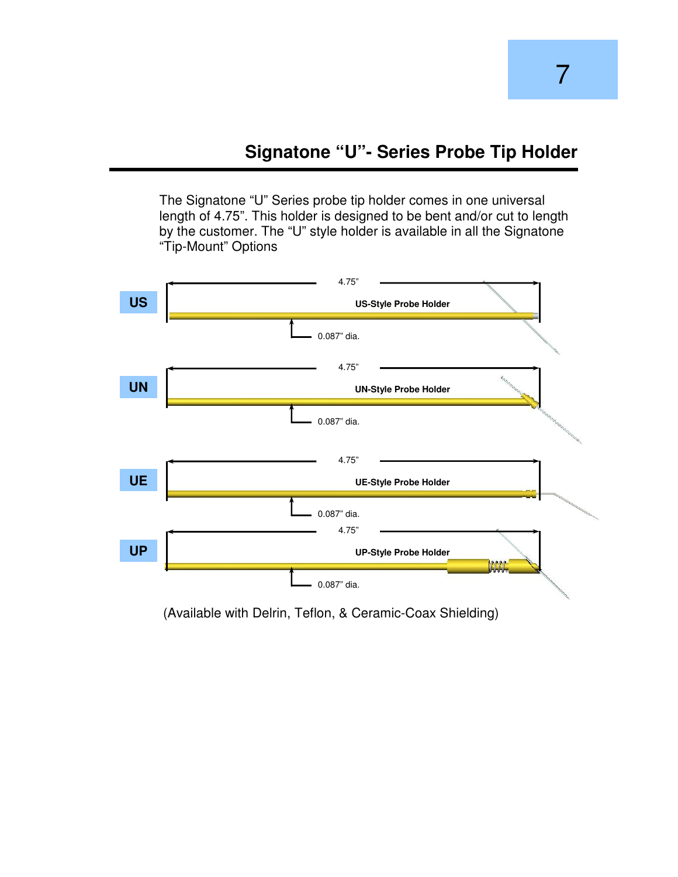The Signatone "U" Series probe tip holder comes in one universal length of 4.75". This holder is designed to be bent and/or cut to length by the customer. The "U" style holder is available in all the Signatone "Tip-Mount" Options



(Available with Delrin, Teflon, & Ceramic-Coax Shielding)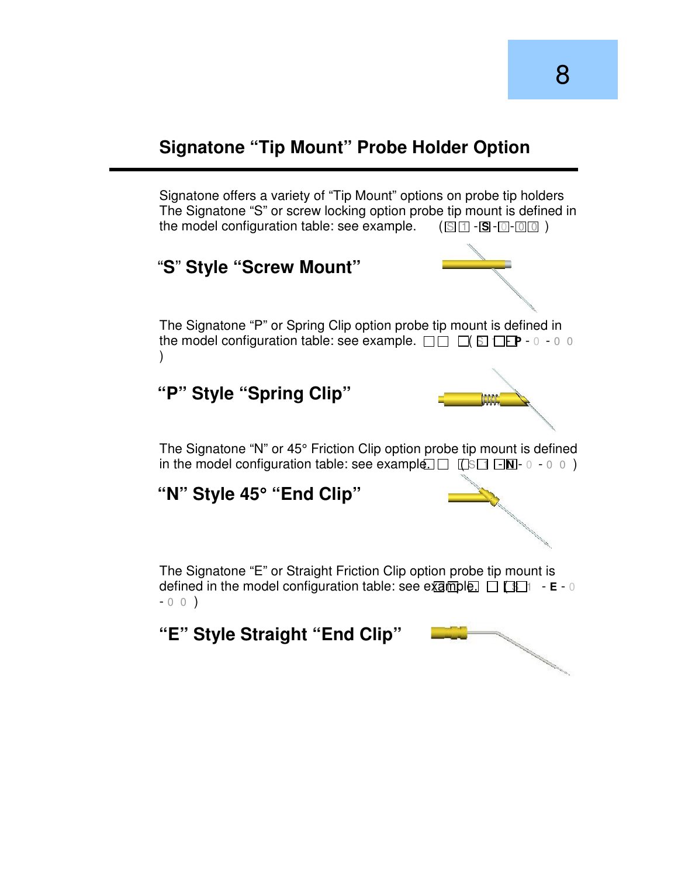# **Signatone "Tip Mount" Probe Holder Option**

Signatone offers a variety of "Tip Mount" options on probe tip holders The Signatone "S" or screw locking option probe tip mount is defined in the model configuration table: see example. ( $\Box$  T -  $\Box$  -  $\Box$  -  $\Box$  )

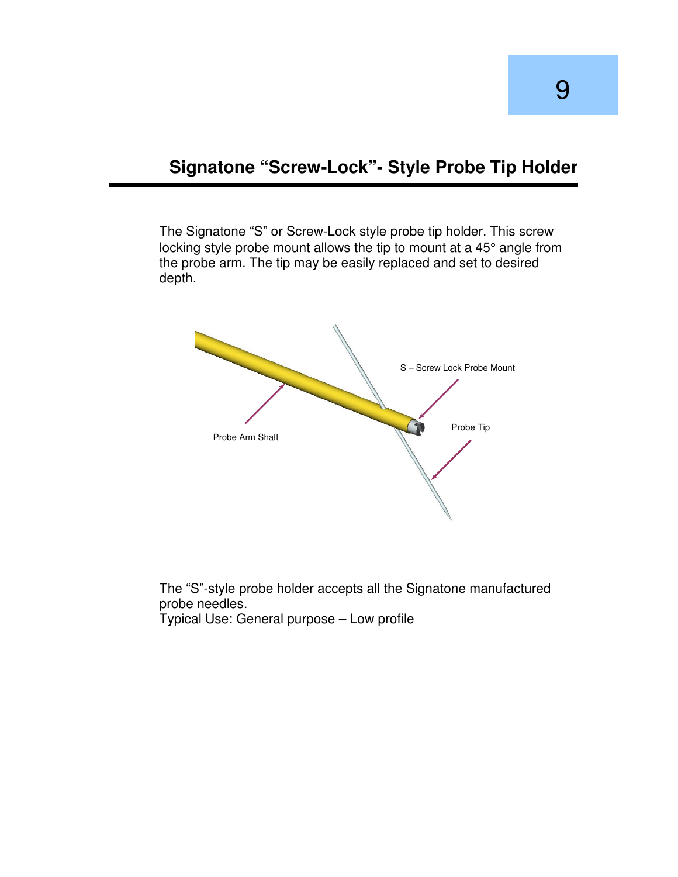#### **Signatone "Screw-Lock"- Style Probe Tip Holder**

The Signatone "S" or Screw-Lock style probe tip holder. This screw locking style probe mount allows the tip to mount at a 45° angle from the probe arm. The tip may be easily replaced and set to desired depth.



The "S"-style probe holder accepts all the Signatone manufactured probe needles.

Typical Use: General purpose – Low profile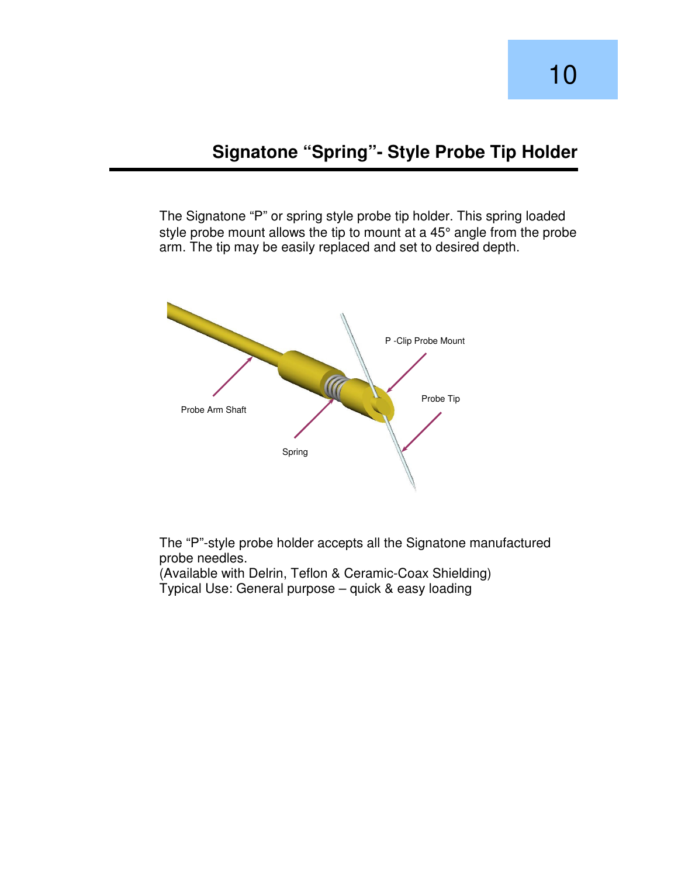The Signatone "P" or spring style probe tip holder. This spring loaded style probe mount allows the tip to mount at a 45° angle from the probe arm. The tip may be easily replaced and set to desired depth.



The "P"-style probe holder accepts all the Signatone manufactured probe needles.

(Available with Delrin, Teflon & Ceramic-Coax Shielding) Typical Use: General purpose – quick & easy loading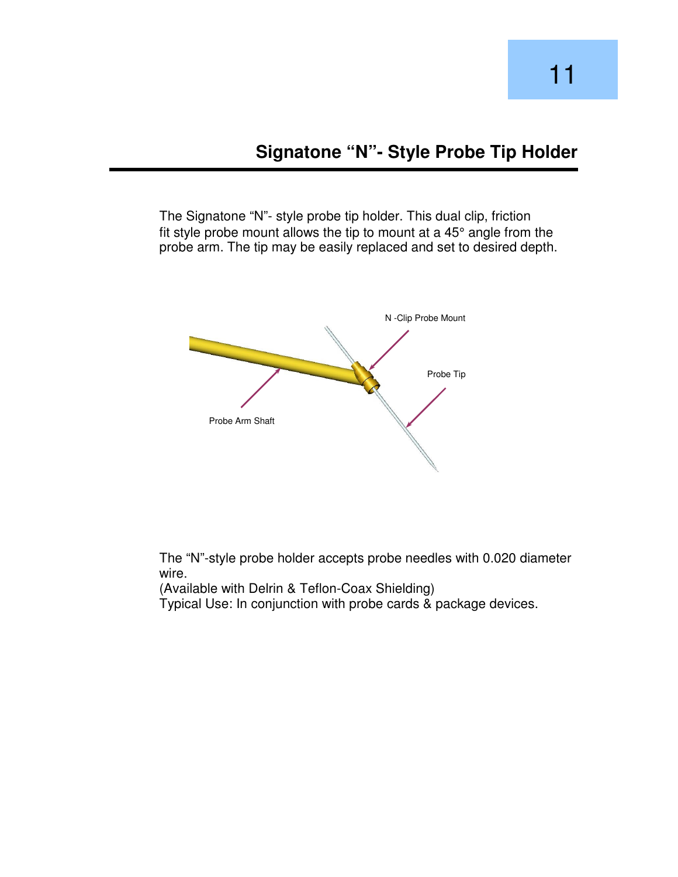The Signatone "N"- style probe tip holder. This dual clip, friction fit style probe mount allows the tip to mount at a 45° angle from the probe arm. The tip may be easily replaced and set to desired depth.



The "N"-style probe holder accepts probe needles with 0.020 diameter wire.

(Available with Delrin & Teflon-Coax Shielding)

Typical Use: In conjunction with probe cards & package devices.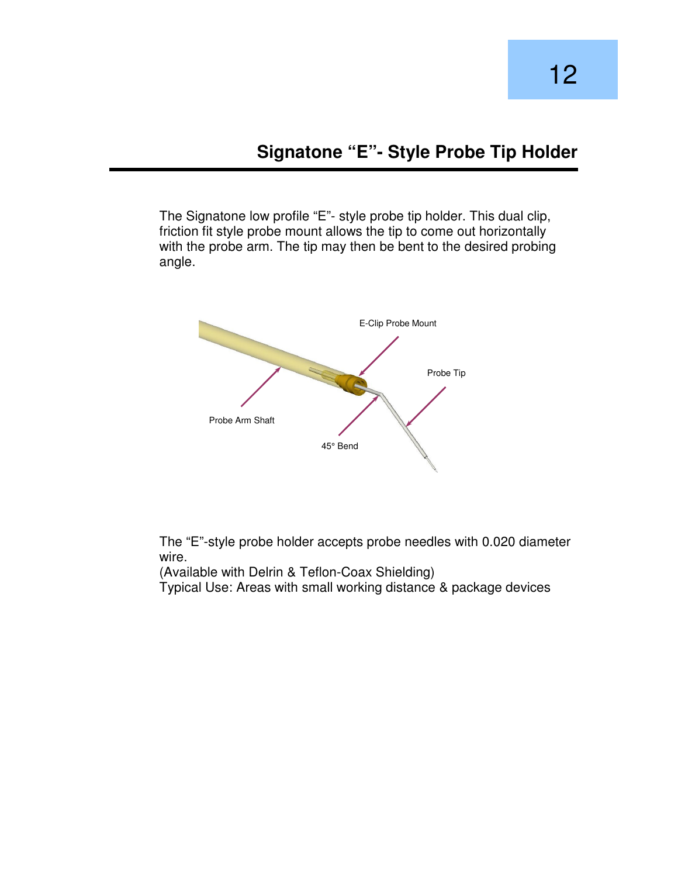The Signatone low profile "E"- style probe tip holder. This dual clip, friction fit style probe mount allows the tip to come out horizontally with the probe arm. The tip may then be bent to the desired probing angle.



The "E"-style probe holder accepts probe needles with 0.020 diameter wire.

(Available with Delrin & Teflon-Coax Shielding)

Typical Use: Areas with small working distance & package devices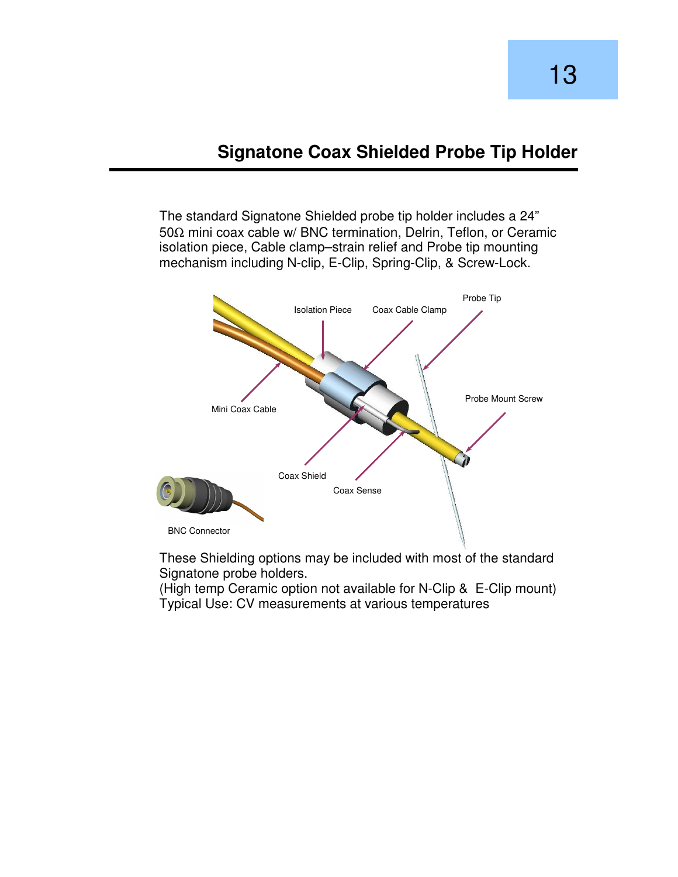### **Signatone Coax Shielded Probe Tip Holder**

The standard Signatone Shielded probe tip holder includes a 24" 50Ω mini coax cable w/ BNC termination, Delrin, Teflon, or Ceramic isolation piece, Cable clamp–strain relief and Probe tip mounting mechanism including N-clip, E-Clip, Spring-Clip, & Screw-Lock.



These Shielding options may be included with most of the standard Signatone probe holders.

(High temp Ceramic option not available for N-Clip & E-Clip mount) Typical Use: CV measurements at various temperatures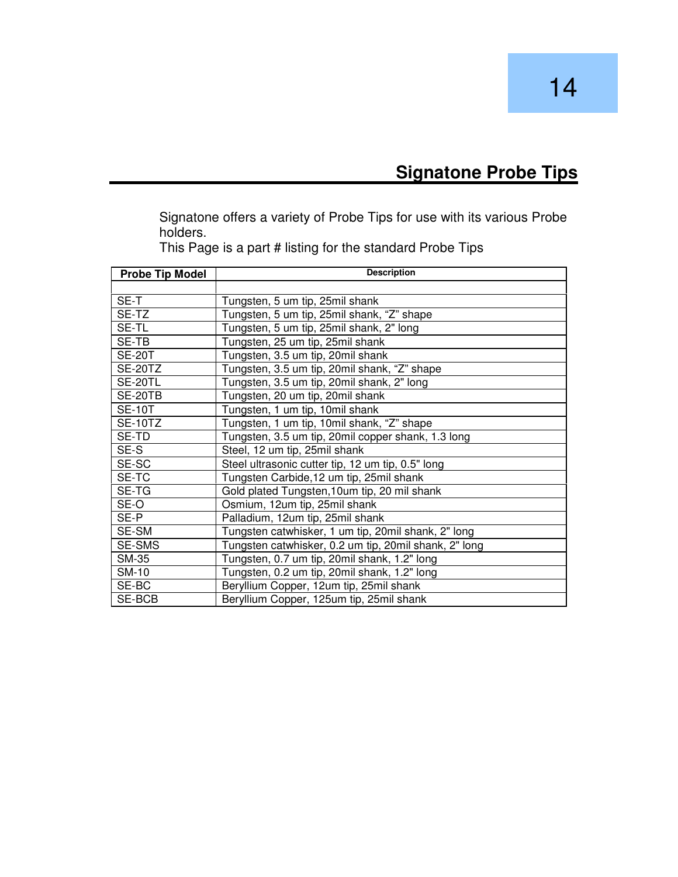# **Signatone Probe Tips**

Signatone offers a variety of Probe Tips for use with its various Probe holders.

| <b>Probe Tip Model</b> | <b>Description</b>                                    |  |  |  |
|------------------------|-------------------------------------------------------|--|--|--|
|                        |                                                       |  |  |  |
| SE-T                   | Tungsten, 5 um tip, 25 mil shank                      |  |  |  |
| SE-TZ                  | Tungsten, 5 um tip, 25mil shank, "Z" shape            |  |  |  |
| SE-TL                  | Tungsten, 5 um tip, 25mil shank, 2" long              |  |  |  |
| SE-TB                  | Tungsten, 25 um tip, 25mil shank                      |  |  |  |
| <b>SE-20T</b>          | Tungsten, 3.5 um tip, 20mil shank                     |  |  |  |
| <b>SE-20TZ</b>         | Tungsten, 3.5 um tip, 20mil shank, "Z" shape          |  |  |  |
| SE-20TL                | Tungsten, 3.5 um tip, 20mil shank, 2" long            |  |  |  |
| SE-20TB                | Tungsten, 20 um tip, 20mil shank                      |  |  |  |
| <b>SE-10T</b>          | Tungsten, 1 um tip, 10mil shank                       |  |  |  |
| <b>SE-10TZ</b>         | Tungsten, 1 um tip, 10mil shank, "Z" shape            |  |  |  |
| SE-TD                  | Tungsten, 3.5 um tip, 20mil copper shank, 1.3 long    |  |  |  |
| SE-S                   | Steel, 12 um tip, 25mil shank                         |  |  |  |
| SE-SC                  | Steel ultrasonic cutter tip, 12 um tip, 0.5" long     |  |  |  |
| SE-TC                  | Tungsten Carbide, 12 um tip, 25mil shank              |  |  |  |
| SE-TG                  | Gold plated Tungsten, 10um tip, 20 mil shank          |  |  |  |
| SE-O                   | Osmium, 12um tip, 25mil shank                         |  |  |  |
| SE-P                   | Palladium, 12um tip, 25mil shank                      |  |  |  |
| SE-SM                  | Tungsten catwhisker, 1 um tip, 20mil shank, 2" long   |  |  |  |
| SE-SMS                 | Tungsten catwhisker, 0.2 um tip, 20mil shank, 2" long |  |  |  |
| <b>SM-35</b>           | Tungsten, 0.7 um tip, 20mil shank, 1.2" long          |  |  |  |
| SM-10                  | Tungsten, 0.2 um tip, 20mil shank, 1.2" long          |  |  |  |
| SE-BC                  | Beryllium Copper, 12um tip, 25mil shank               |  |  |  |
| SE-BCB                 | Beryllium Copper, 125um tip, 25mil shank              |  |  |  |

This Page is a part # listing for the standard Probe Tips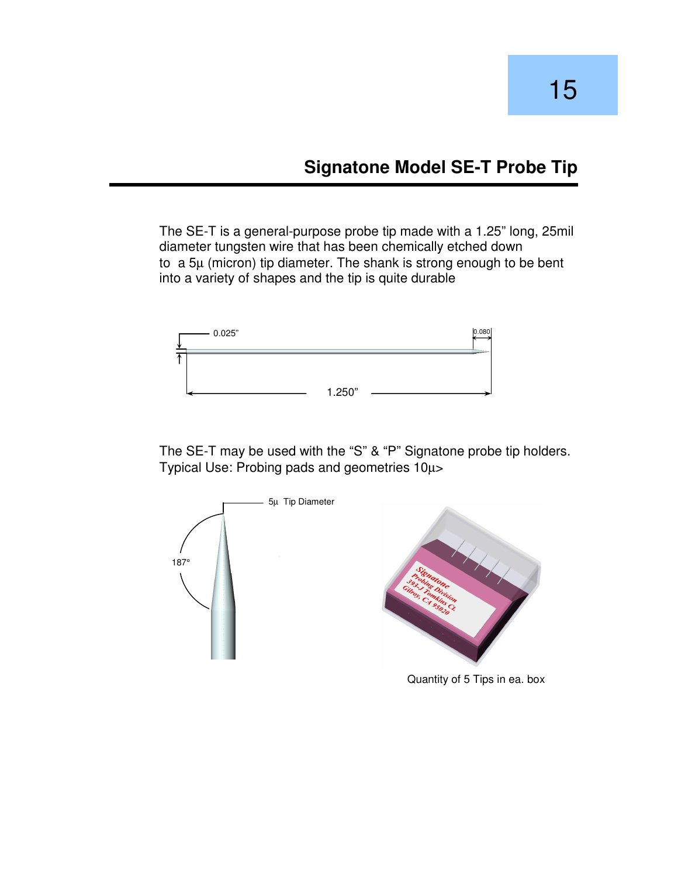# **Signatone Model SE-T Probe Tip**

The SE-T is a general-purpose probe tip made with a 1.25" long, 25mil diameter tungsten wire that has been chemically etched down to a 5µ (micron) tip diameter. The shank is strong enough to be bent into a variety of shapes and the tip is quite durable



The SE-T may be used with the "S" & "P" Signatone probe tip holders. Typical Use: Probing pads and geometries 10µ>

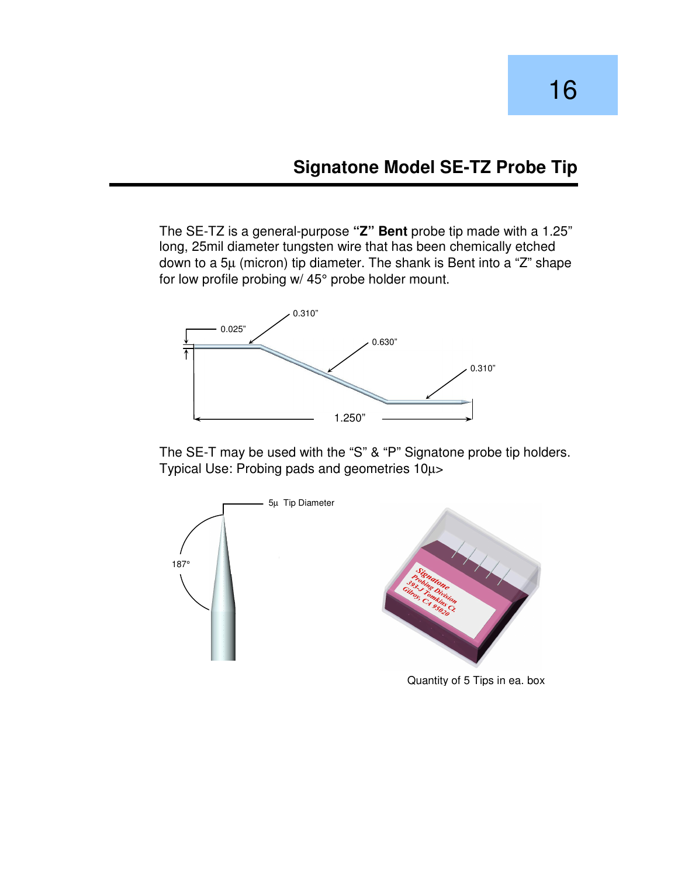# **Signatone Model SE-TZ Probe Tip**

16

The SE-TZ is a general-purpose **"Z" Bent** probe tip made with a 1.25" long, 25mil diameter tungsten wire that has been chemically etched down to a 5µ (micron) tip diameter. The shank is Bent into a "Z" shape for low profile probing w/ 45° probe holder mount.



The SE-T may be used with the "S" & "P" Signatone probe tip holders. Typical Use: Probing pads and geometries 10µ>

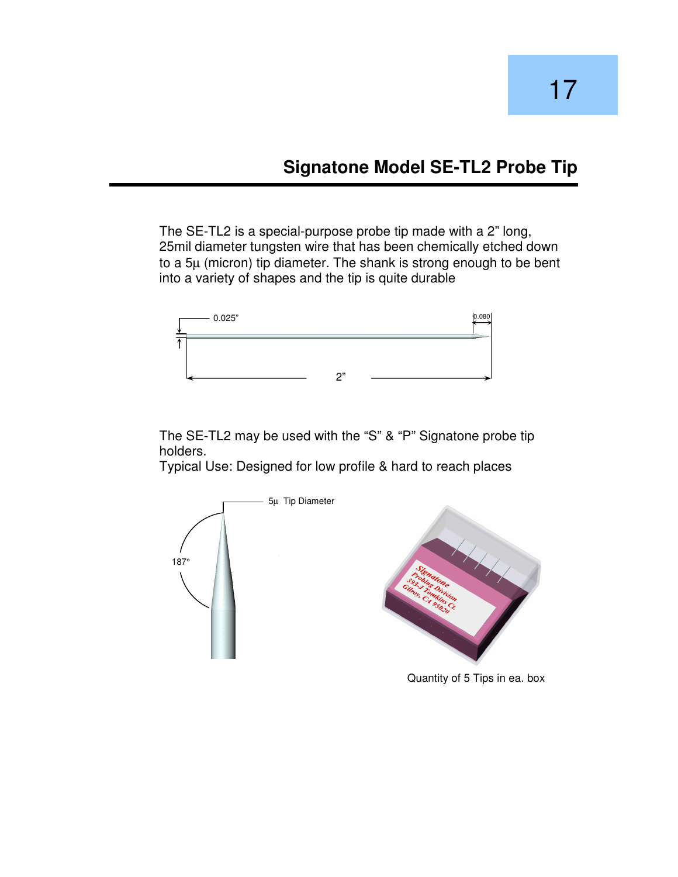# **Signatone Model SE-TL2 Probe Tip**

The SE-TL2 is a special-purpose probe tip made with a 2" long, 25mil diameter tungsten wire that has been chemically etched down to a 5µ (micron) tip diameter. The shank is strong enough to be bent into a variety of shapes and the tip is quite durable



The SE-TL2 may be used with the "S" & "P" Signatone probe tip holders.

Typical Use: Designed for low profile & hard to reach places



Quantity of 5 Tips in ea. box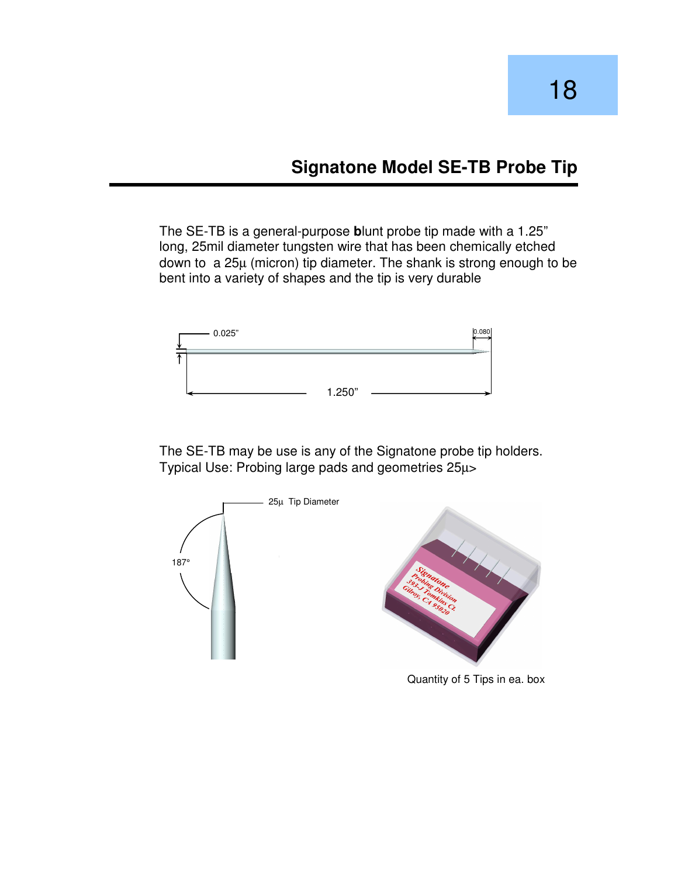# **Signatone Model SE-TB Probe Tip**

The SE-TB is a general-purpose **b**lunt probe tip made with a 1.25" long, 25mil diameter tungsten wire that has been chemically etched down to a 25µ (micron) tip diameter. The shank is strong enough to be bent into a variety of shapes and the tip is very durable



The SE-TB may be use is any of the Signatone probe tip holders. Typical Use: Probing large pads and geometries 25µ>



Quantity of 5 Tips in ea. box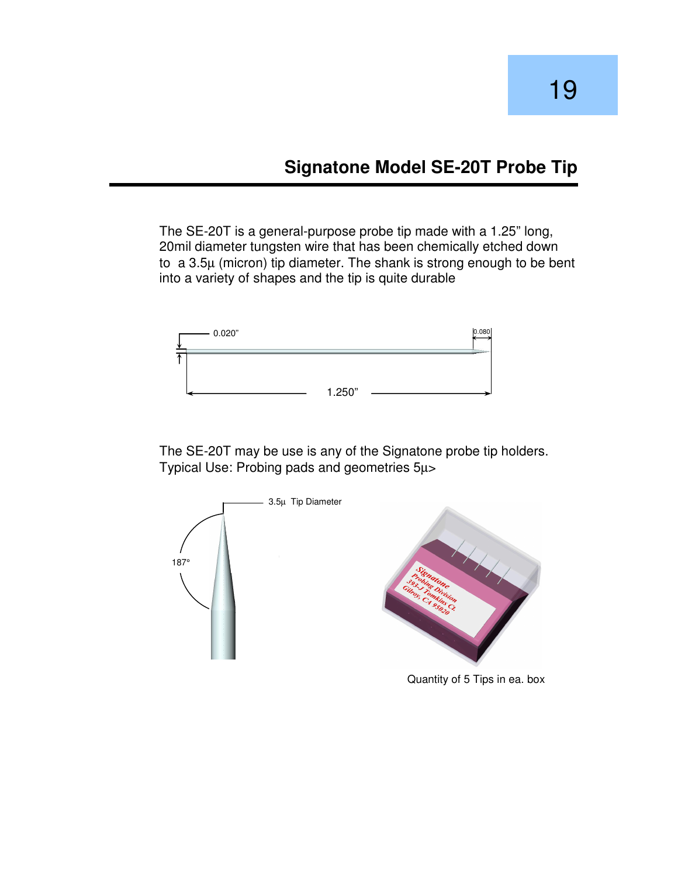#### **Signatone Model SE-20T Probe Tip**

The SE-20T is a general-purpose probe tip made with a 1.25" long, 20mil diameter tungsten wire that has been chemically etched down to a 3.5µ (micron) tip diameter. The shank is strong enough to be bent into a variety of shapes and the tip is quite durable



The SE-20T may be use is any of the Signatone probe tip holders. Typical Use: Probing pads and geometries 5µ>



Quantity of 5 Tips in ea. box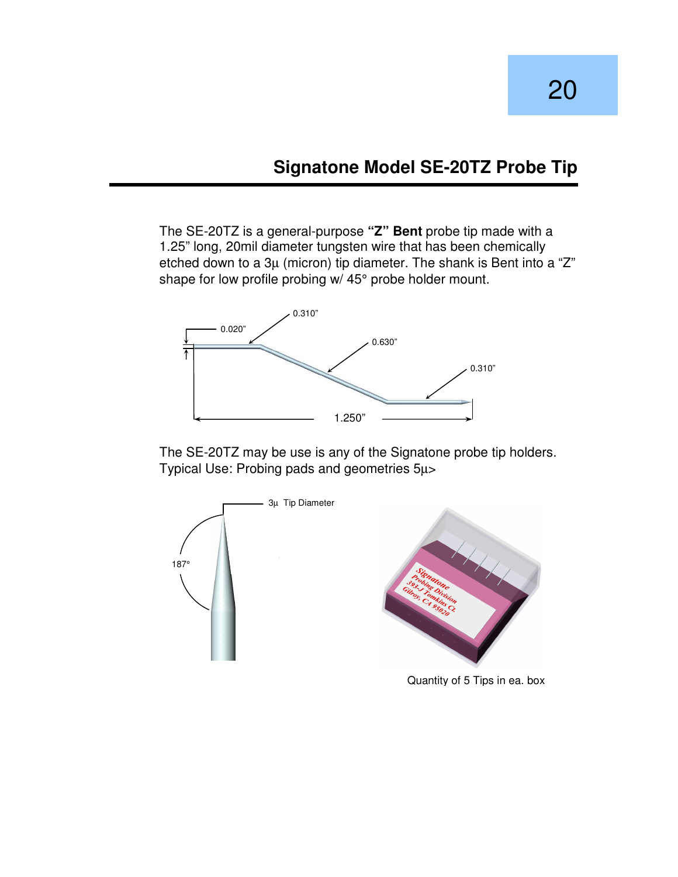# **Signatone Model SE-20TZ Probe Tip**

The SE-20TZ is a general-purpose **"Z" Bent** probe tip made with a 1.25" long, 20mil diameter tungsten wire that has been chemically etched down to a 3µ (micron) tip diameter. The shank is Bent into a "Z" shape for low profile probing w/ 45° probe holder mount.



The SE-20TZ may be use is any of the Signatone probe tip holders. Typical Use: Probing pads and geometries 5µ>



Quantity of 5 Tips in ea. box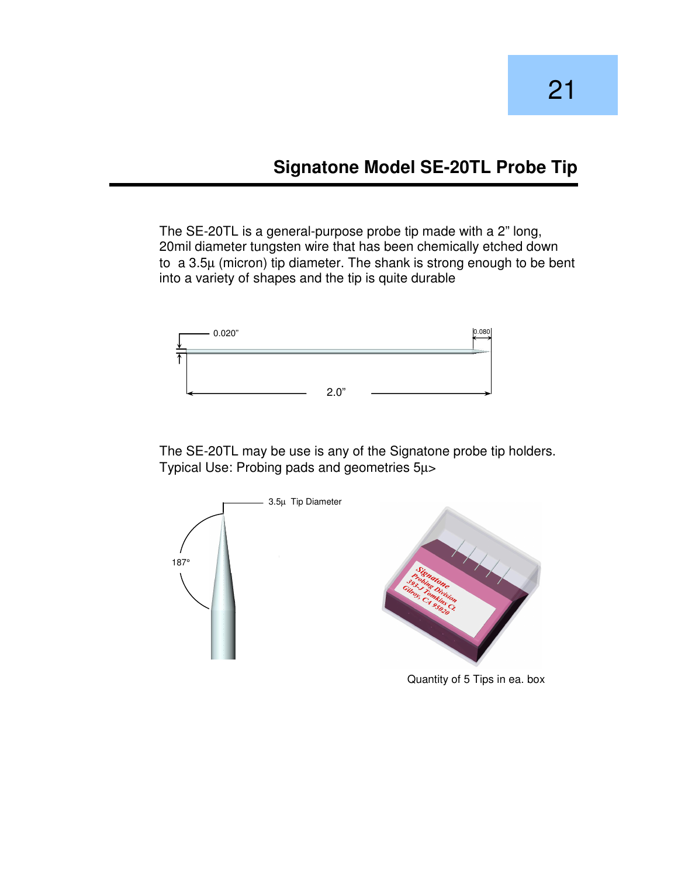#### **Signatone Model SE-20TL Probe Tip**

The SE-20TL is a general-purpose probe tip made with a 2" long, 20mil diameter tungsten wire that has been chemically etched down to a 3.5µ (micron) tip diameter. The shank is strong enough to be bent into a variety of shapes and the tip is quite durable



The SE-20TL may be use is any of the Signatone probe tip holders. Typical Use: Probing pads and geometries 5µ>



Quantity of 5 Tips in ea. box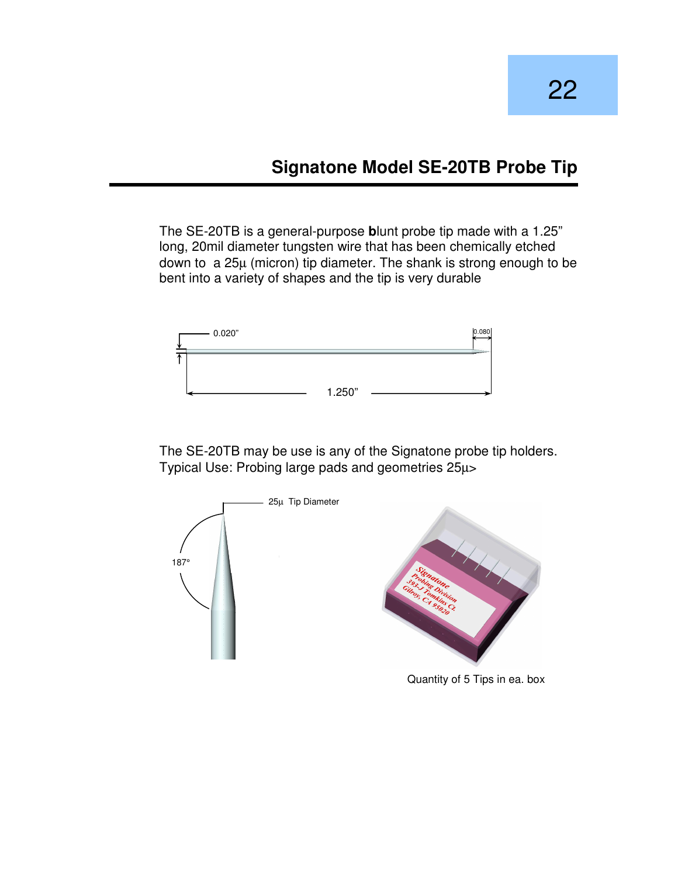# **Signatone Model SE-20TB Probe Tip**

The SE-20TB is a general-purpose **b**lunt probe tip made with a 1.25" long, 20mil diameter tungsten wire that has been chemically etched down to a 25µ (micron) tip diameter. The shank is strong enough to be bent into a variety of shapes and the tip is very durable



The SE-20TB may be use is any of the Signatone probe tip holders. Typical Use: Probing large pads and geometries 25µ>



Quantity of 5 Tips in ea. box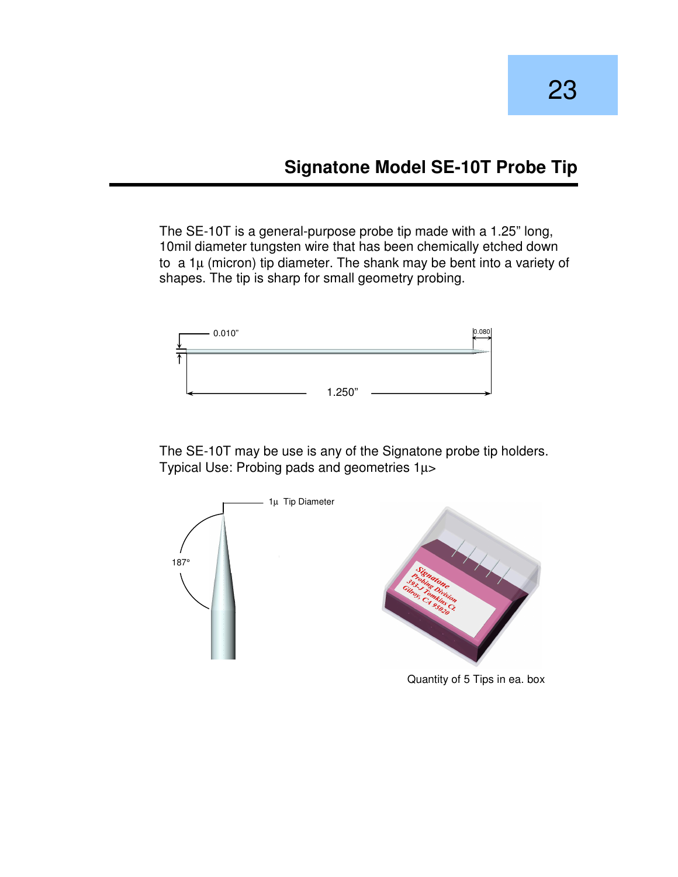The SE-10T is a general-purpose probe tip made with a 1.25" long, 10mil diameter tungsten wire that has been chemically etched down to  $a \, 1\mu$  (micron) tip diameter. The shank may be bent into a variety of shapes. The tip is sharp for small geometry probing.



The SE-10T may be use is any of the Signatone probe tip holders. Typical Use: Probing pads and geometries 1µ>



Quantity of 5 Tips in ea. box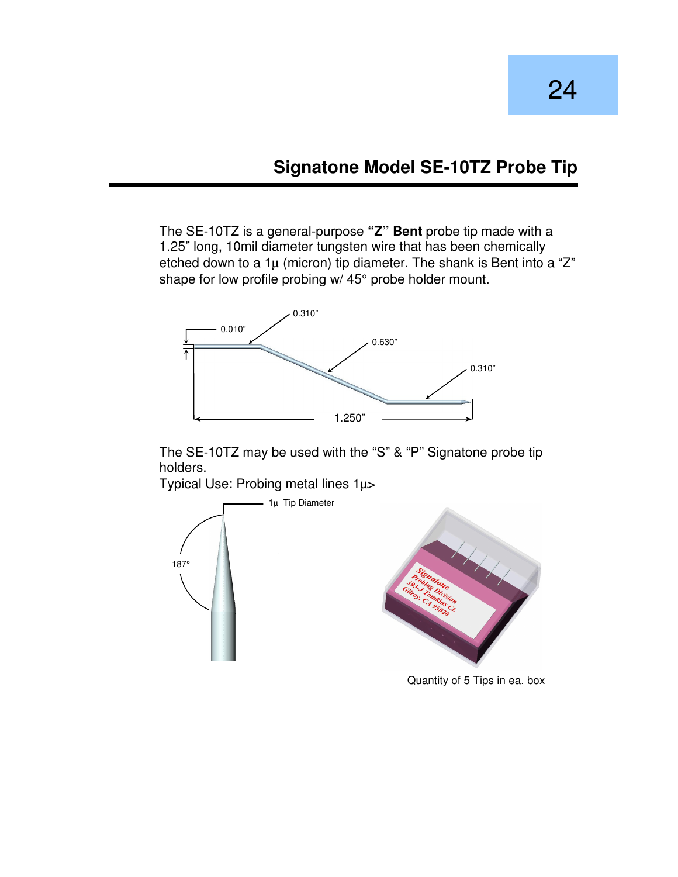# **Signatone Model SE-10TZ Probe Tip**

The SE-10TZ is a general-purpose **"Z" Bent** probe tip made with a 1.25" long, 10mil diameter tungsten wire that has been chemically etched down to a  $1\mu$  (micron) tip diameter. The shank is Bent into a "Z" shape for low profile probing w/ 45° probe holder mount.



The SE-10TZ may be used with the "S" & "P" Signatone probe tip holders.

Typical Use: Probing metal lines 1µ>  $-1\mu$  Tip Diameter 187°

Quantity of 5 Tips in ea. box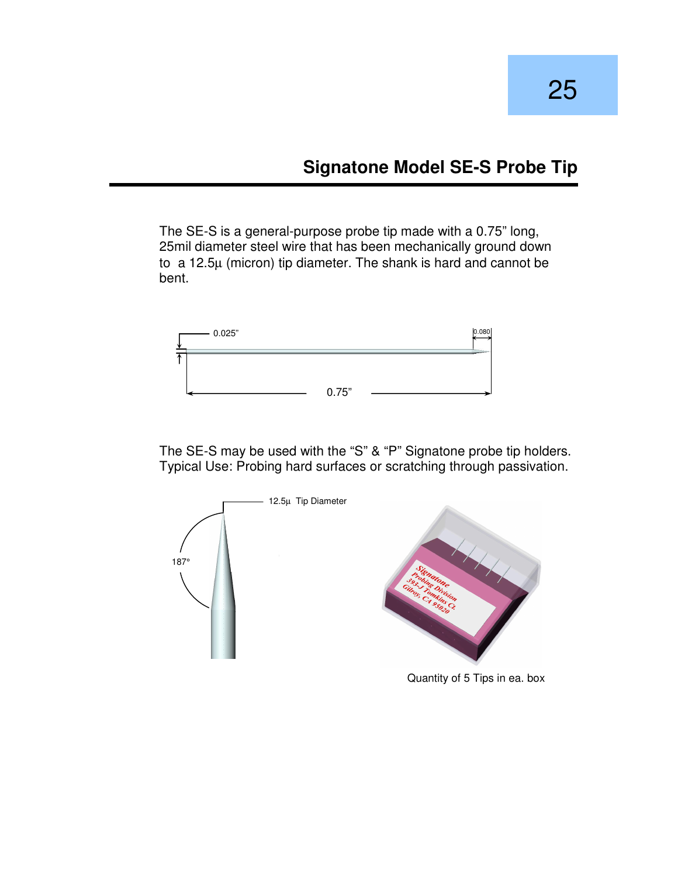# **Signatone Model SE-S Probe Tip**

The SE-S is a general-purpose probe tip made with a 0.75" long, 25mil diameter steel wire that has been mechanically ground down to a 12.5µ (micron) tip diameter. The shank is hard and cannot be bent.



The SE-S may be used with the "S" & "P" Signatone probe tip holders. Typical Use: Probing hard surfaces or scratching through passivation.

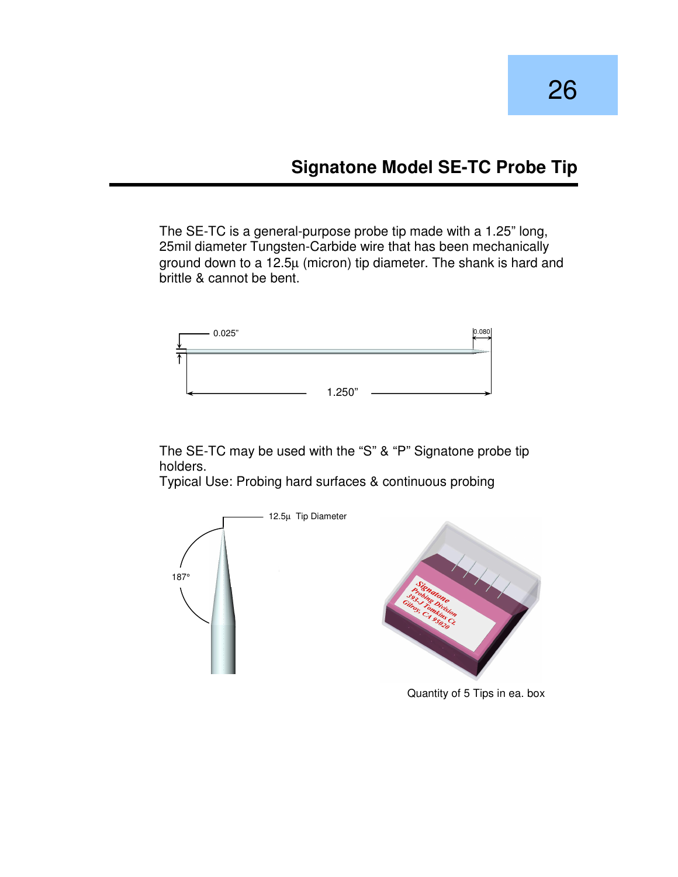# **Signatone Model SE-TC Probe Tip**

The SE-TC is a general-purpose probe tip made with a 1.25" long, 25mil diameter Tungsten-Carbide wire that has been mechanically ground down to a 12.5µ (micron) tip diameter. The shank is hard and brittle & cannot be bent.



The SE-TC may be used with the "S" & "P" Signatone probe tip holders.

Typical Use: Probing hard surfaces & continuous probing



Quantity of 5 Tips in ea. box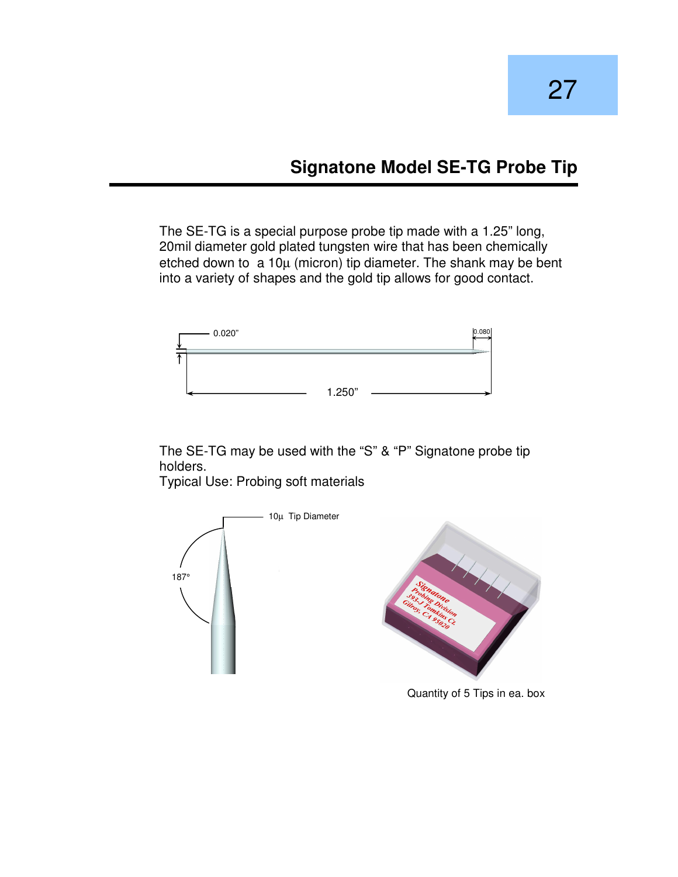# **Signatone Model SE-TG Probe Tip**

The SE-TG is a special purpose probe tip made with a 1.25" long, 20mil diameter gold plated tungsten wire that has been chemically etched down to a 10µ (micron) tip diameter. The shank may be bent into a variety of shapes and the gold tip allows for good contact.



The SE-TG may be used with the "S" & "P" Signatone probe tip holders.

Typical Use: Probing soft materials



Quantity of 5 Tips in ea. box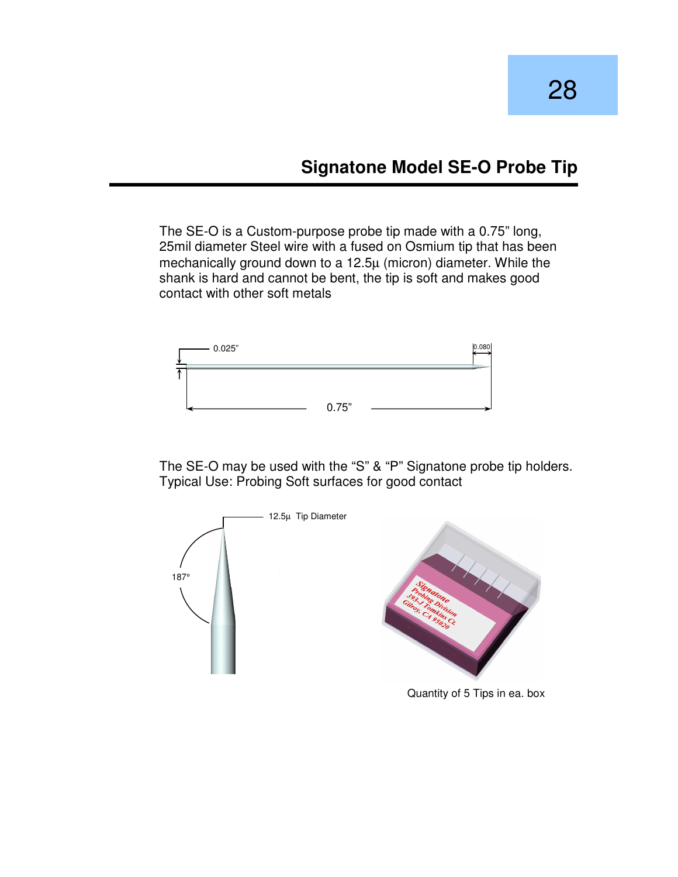#### **Signatone Model SE-O Probe Tip**

The SE-O is a Custom-purpose probe tip made with a 0.75" long, 25mil diameter Steel wire with a fused on Osmium tip that has been mechanically ground down to a 12.5µ (micron) diameter. While the shank is hard and cannot be bent, the tip is soft and makes good contact with other soft metals



The SE-O may be used with the "S" & "P" Signatone probe tip holders. Typical Use: Probing Soft surfaces for good contact



Quantity of 5 Tips in ea. box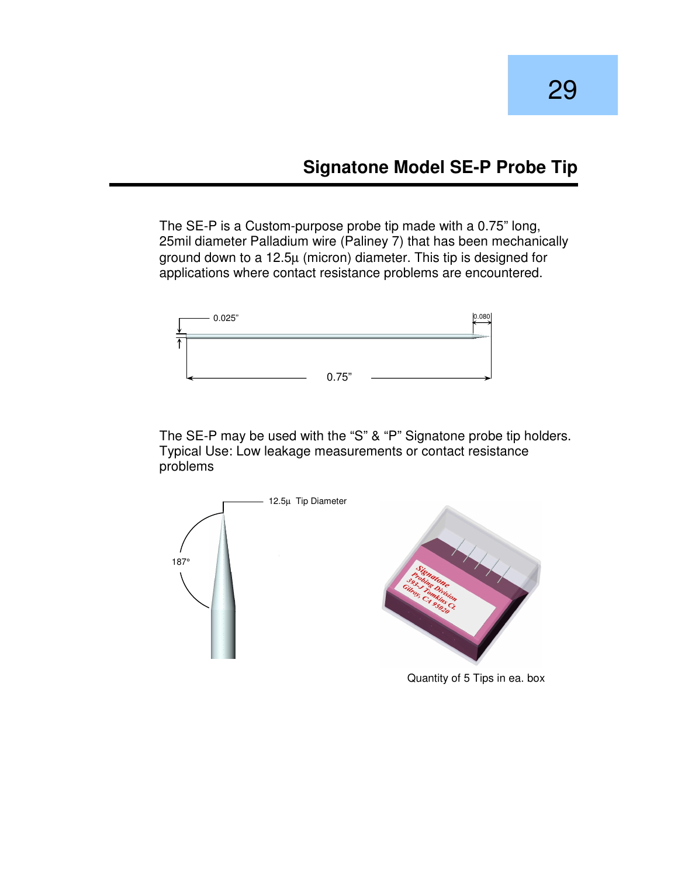#### **Signatone Model SE-P Probe Tip**

The SE-P is a Custom-purpose probe tip made with a 0.75" long, 25mil diameter Palladium wire (Paliney 7) that has been mechanically ground down to a 12.5µ (micron) diameter. This tip is designed for applications where contact resistance problems are encountered.



The SE-P may be used with the "S" & "P" Signatone probe tip holders. Typical Use: Low leakage measurements or contact resistance problems

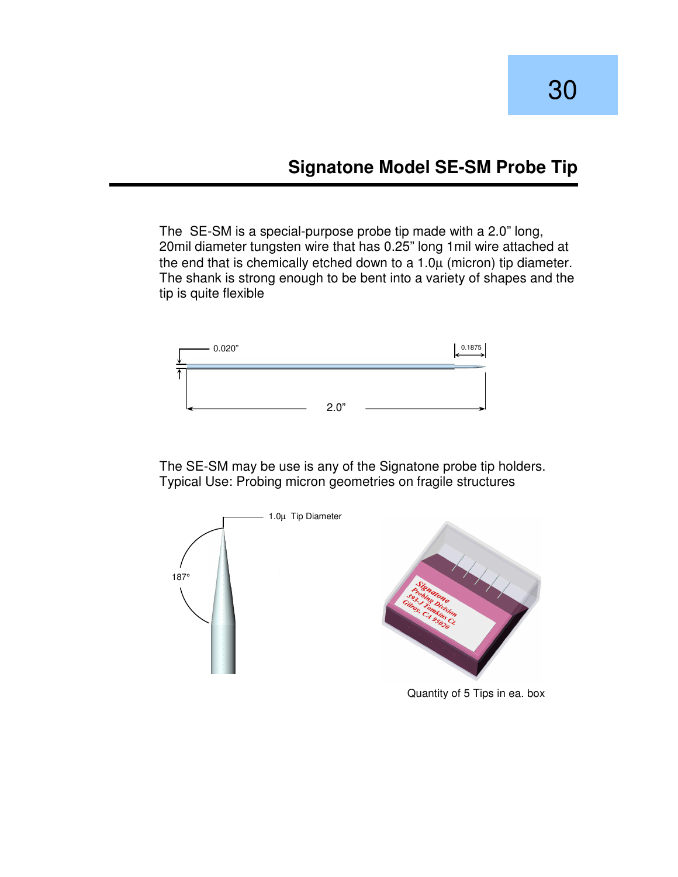# **Signatone Model SE-SM Probe Tip**

The SE-SM is a special-purpose probe tip made with a 2.0" long, 20mil diameter tungsten wire that has 0.25" long 1mil wire attached at the end that is chemically etched down to a  $1.0\mu$  (micron) tip diameter. The shank is strong enough to be bent into a variety of shapes and the tip is quite flexible



The SE-SM may be use is any of the Signatone probe tip holders. Typical Use: Probing micron geometries on fragile structures



Quantity of 5 Tips in ea. box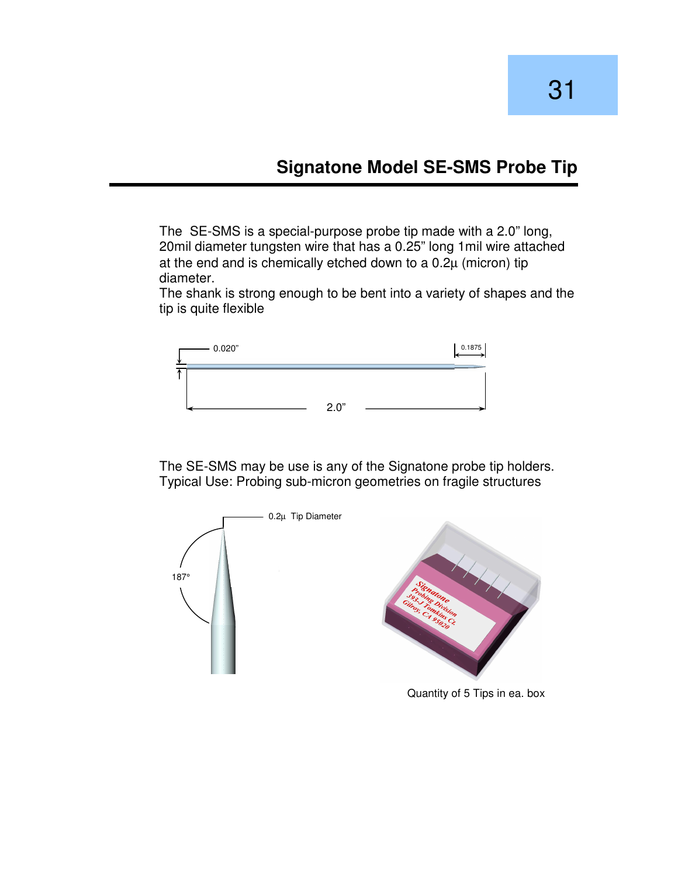#### **Signatone Model SE-SMS Probe Tip**

The SE-SMS is a special-purpose probe tip made with a 2.0" long, 20mil diameter tungsten wire that has a 0.25" long 1mil wire attached at the end and is chemically etched down to a 0.2µ (micron) tip diameter.

The shank is strong enough to be bent into a variety of shapes and the tip is quite flexible



The SE-SMS may be use is any of the Signatone probe tip holders. Typical Use: Probing sub-micron geometries on fragile structures



Quantity of 5 Tips in ea. box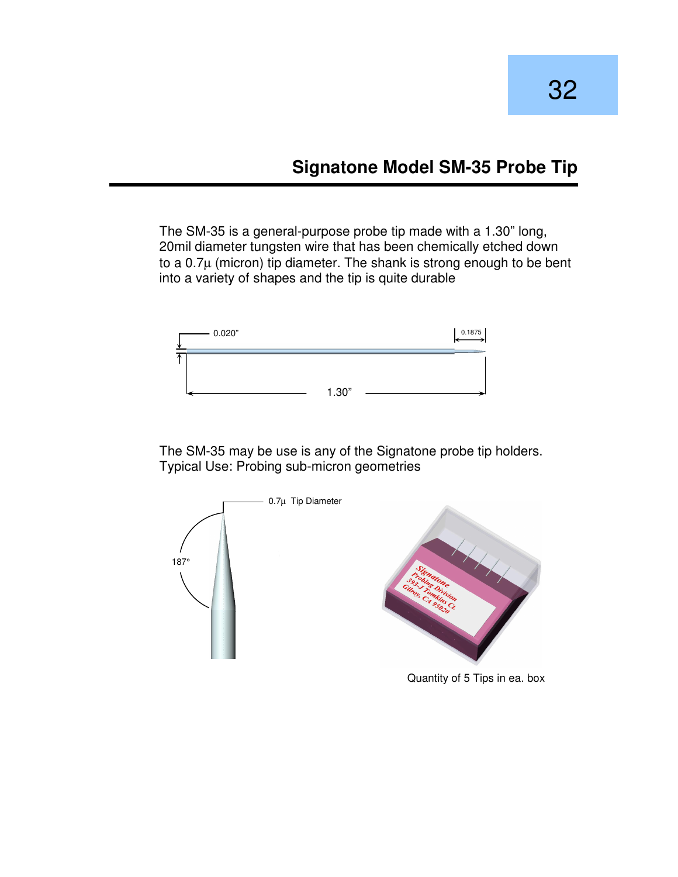#### **Signatone Model SM-35 Probe Tip**

The SM-35 is a general-purpose probe tip made with a 1.30" long, 20mil diameter tungsten wire that has been chemically etched down to a  $0.7\mu$  (micron) tip diameter. The shank is strong enough to be bent into a variety of shapes and the tip is quite durable



The SM-35 may be use is any of the Signatone probe tip holders. Typical Use: Probing sub-micron geometries



Quantity of 5 Tips in ea. box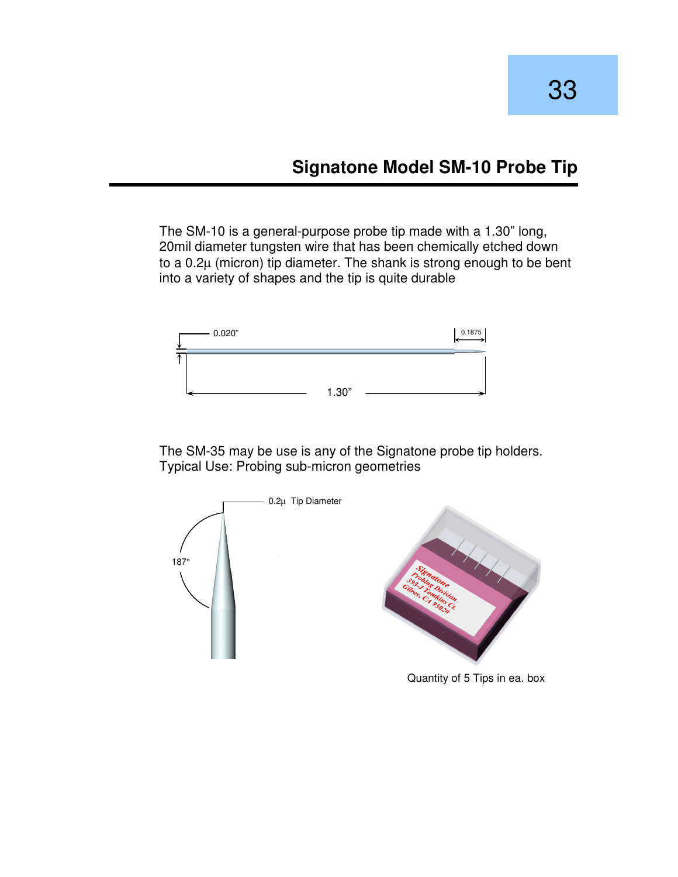# **Signatone Model SM-10 Probe Tip**

The SM-10 is a general-purpose probe tip made with a 1.30" long, 20mil diameter tungsten wire that has been chemically etched down to a 0.2µ (micron) tip diameter. The shank is strong enough to be bent into a variety of shapes and the tip is quite durable



The SM-35 may be use is any of the Signatone probe tip holders. Typical Use: Probing sub-micron geometries



Quantity of 5 Tips in ea. box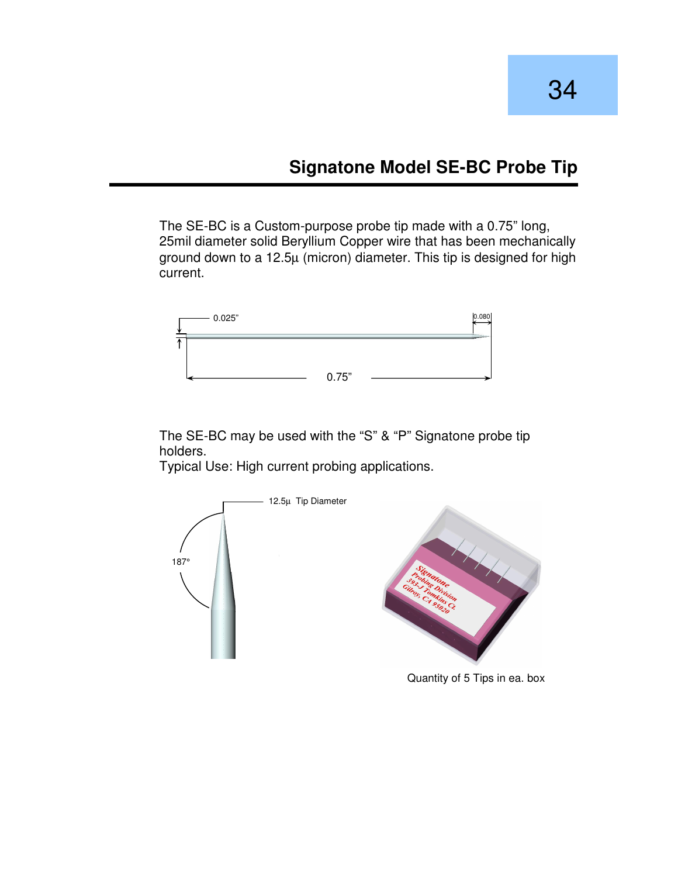# **Signatone Model SE-BC Probe Tip**

The SE-BC is a Custom-purpose probe tip made with a 0.75" long, 25mil diameter solid Beryllium Copper wire that has been mechanically ground down to a 12.5µ (micron) diameter. This tip is designed for high current.



The SE-BC may be used with the "S" & "P" Signatone probe tip holders.

Typical Use: High current probing applications.



Quantity of 5 Tips in ea. box